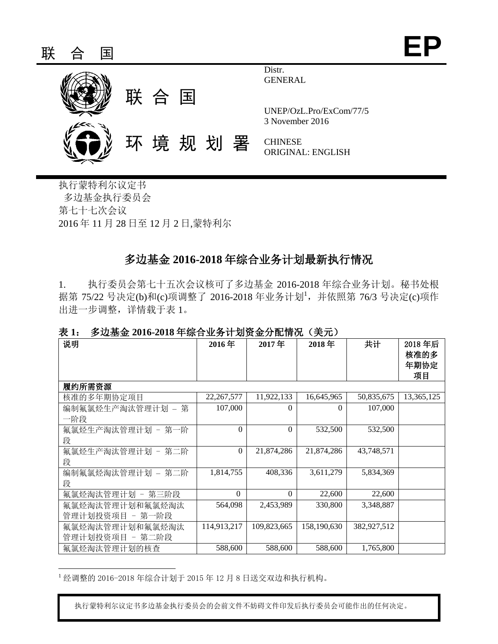

执行蒙特利尔议定书 多边基金执行委员会 第七十七次会议 2016 年 11 月 28 日至 12 月 2 日,蒙特利尔

# 多边基金 **2016-2018** 年综合业务计划最新执行情况

1. 执行委员会第七十五次会议核可了多边基金 2016-2018 年综合业务计划。秘书处根 据第 75/22 号决定(b)和(c)项调整了 2016-2018 年业务计划<sup>1</sup>, 并依照第 76/3 号决定(c)项作 出进一步调整,详情载于表 1。

#### 表 **1**:多边基金 **2016-2018** 年综合业务计划资金分配情况(美元)

| 说明                | 2016年        | 2017年       | 2018年       | 共计          | 2018年后<br>核准的多<br>年期协定<br>项目 |
|-------------------|--------------|-------------|-------------|-------------|------------------------------|
| 履约所需资源            |              |             |             |             |                              |
| 核准的多年期协定项目        | 22, 267, 577 | 11,922,133  | 16,645,965  | 50,835,675  | 13,365,125                   |
| 编制氟氯烃生产淘汰管理计划 – 第 | 107,000      | $\Omega$    | $\Omega$    | 107,000     |                              |
| 一阶段               |              |             |             |             |                              |
| 氟氯烃生产淘汰管理计划 - 第一阶 | $\Omega$     | $\theta$    | 532,500     | 532,500     |                              |
| 段                 |              |             |             |             |                              |
| 氟氯烃生产淘汰管理计划 - 第二阶 | $\Omega$     | 21,874,286  | 21,874,286  | 43,748,571  |                              |
| 段                 |              |             |             |             |                              |
| 编制氟氯烃淘汰管理计划 – 第二阶 | 1,814,755    | 408,336     | 3,611,279   | 5,834,369   |                              |
| 段                 |              |             |             |             |                              |
| 氟氯烃淘汰管理计划 - 第三阶段  | $\Omega$     | $\Omega$    | 22,600      | 22,600      |                              |
| 氟氯烃淘汰管理计划和氟氯烃淘汰   | 564,098      | 2,453,989   | 330,800     | 3,348,887   |                              |
| 管理计划投资项目 - 第一阶段   |              |             |             |             |                              |
| 氟氯烃淘汰管理计划和氟氯烃淘汰   | 114,913,217  | 109,823,665 | 158,190,630 | 382,927,512 |                              |
| 管理计划投资项目 - 第二阶段   |              |             |             |             |                              |
| 氟氯烃淘汰管理计划的核查      | 588,600      | 588,600     | 588,600     | 1,765,800   |                              |

<sup>1</sup> 经调整的 2016-2018 年综合计划于 2015 年 12 月 8 日送交双边和执行机构。

 $\overline{a}$ 

执行蒙特利尔议定书多边基金执行委员会的会前文件不妨碍文件印发后执行委员会可能作出的任何决定。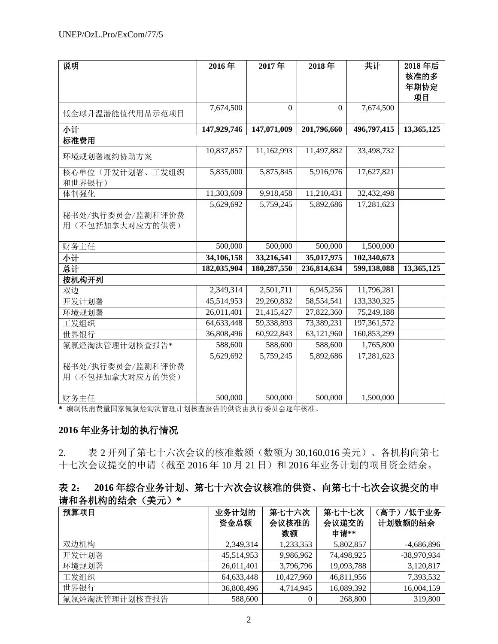| 说明               | 2016年       | 2017年            | 2018年            | 共计          | 2018年后     |
|------------------|-------------|------------------|------------------|-------------|------------|
|                  |             |                  |                  |             | 核准的多       |
|                  |             |                  |                  |             | 年期协定       |
|                  |             |                  |                  |             | 项目         |
|                  | 7,674,500   | $\boldsymbol{0}$ | $\boldsymbol{0}$ | 7,674,500   |            |
| 低全球升温潜能值代用品示范项目  |             |                  |                  |             |            |
| 小计               | 147,929,746 | 147,071,009      | 201,796,660      | 496,797,415 | 13,365,125 |
| 标准费用             |             |                  |                  |             |            |
|                  | 10,837,857  | 11,162,993       | 11,497,882       | 33,498,732  |            |
| 环境规划署履约协助方案      |             |                  |                  |             |            |
| 核心单位(开发计划署、工发组织  | 5,835,000   | 5,875,845        | 5,916,976        | 17,627,821  |            |
| 和世界银行)           |             |                  |                  |             |            |
| 体制强化             | 11,303,609  | 9,918,458        | 11,210,431       | 32,432,498  |            |
|                  | 5,629,692   | 5,759,245        | 5,892,686        | 17,281,623  |            |
| 秘书处/执行委员会/监测和评价费 |             |                  |                  |             |            |
| 用(不包括加拿大对应方的供资)  |             |                  |                  |             |            |
|                  |             |                  |                  |             |            |
| 财务主任             | 500,000     | 500,000          | 500,000          | 1,500,000   |            |
| 小计               | 34,106,158  | 33,216,541       | 35,017,975       | 102,340,673 |            |
| 总计               | 182,035,904 | 180,287,550      | 236,814,634      | 599,138,088 | 13,365,125 |
| 按机构开列            |             |                  |                  |             |            |
| 双边               | 2,349,314   | 2,501,711        | 6,945,256        | 11,796,281  |            |
| 开发计划署            | 45,514,953  | 29,260,832       | 58,554,541       | 133,330,325 |            |
| 环境规划署            | 26,011,401  | 21,415,427       | 27,822,360       | 75,249,188  |            |
| 工发组织             | 64,633,448  | 59,338,893       | 73,389,231       | 197,361,572 |            |
| 世界银行             | 36,808,496  | 60,922,843       | 63,121,960       | 160,853,299 |            |
| 氟氯烃淘汰管理计划核查报告*   | 588,600     | 588,600          | 588,600          | 1,765,800   |            |
|                  | 5,629,692   | 5,759,245        | 5,892,686        | 17,281,623  |            |
| 秘书处/执行委员会/监测和评价费 |             |                  |                  |             |            |
| 用(不包括加拿大对应方的供资)  |             |                  |                  |             |            |
|                  |             |                  |                  |             |            |
| 财务主任             | 500,000     | 500,000          | 500,000          | 1,500,000   |            |

**\*** 编制低消费量国家氟氯烃淘汰管理计划核查报告的供资由执行委员会逐年核准。

## **2016** 年业务计划的执行情况

2. 表 2 开列了第七十六次会议的核准数额(数额为 30,160,016 美元)、各机构向第七 十七次会议提交的申请(截至 2016年 10月 21日)和 2016年业务计划的项目资金结余。

## 表 **2**: **2016** 年综合业务计划、第七十六次会议核准的供资、向第七十七次会议提交的申 请和各机构的结余(美元)**\***

| 预算项目          | 业务计划的<br>资金总额 | 第七十六次<br>会议核准的<br>数额 | 第七十七次<br>会议递交的<br>申请** | /低于业务<br>(高于)<br>计划数额的结余 |
|---------------|---------------|----------------------|------------------------|--------------------------|
| 双边机构          | 2,349,314     | 1,233,353            | 5,802,857              | $-4,686,896$             |
| 开发计划署         | 45,514,953    | 9,986,962            | 74,498,925             | -38,970,934              |
| 环境规划署         | 26,011,401    | 3,796,796            | 19,093,788             | 3,120,817                |
| 工发组织          | 64,633,448    | 10,427,960           | 46,811,956             | 7,393,532                |
| 世界银行          | 36,808,496    | 4.714.945            | 16,089,392             | 16,004,159               |
| 氟氯烃淘汰管理计划核查报告 | 588,600       | $\overline{0}$       | 268,800                | 319,800                  |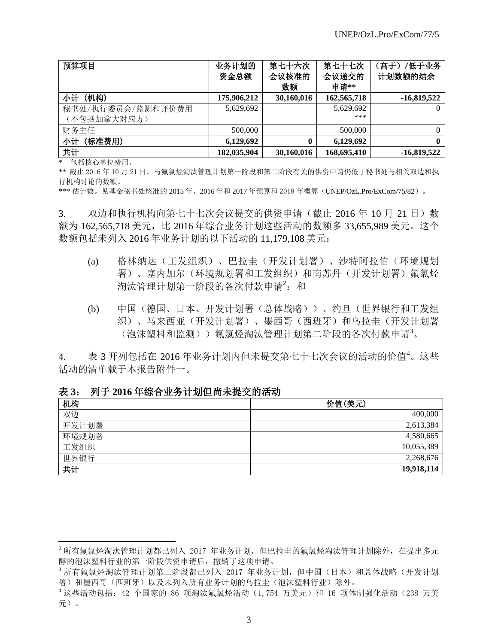| 预算项目              | 业务计划的<br>资金总额 | 第七十六次<br>会议核准的<br>数额 | 第七十七次<br>会议递交的<br>申请** | /低于业务<br>(高于)<br>计划数额的结余 |
|-------------------|---------------|----------------------|------------------------|--------------------------|
| (机构)<br>小计        | 175,906,212   | 30,160,016           | 162,565,718            | $-16,819,522$            |
| 秘书处/执行委员会/监测和评价费用 | 5,629,692     |                      | 5,629,692              | $\theta$                 |
| (不包括加拿大对应方)       |               |                      | ***                    |                          |
| 财务主任              | 500,000       |                      | 500,000                | $\Omega$                 |
| 小计<br>(标准费用)      | 6,129,692     | $\mathbf{0}$         | 6,129,692              | $\mathbf{0}$             |
| 共计                | 182,035,904   | 30,160,016           | 168,695,410            | $-16,819,522$            |

\* 包括核心单位费用。

 $\overline{a}$ 

\*\* 截止 2016 年 10 月 21 日。与氟氯烃淘汰管理计划第一阶段和第二阶段有关的供资申请仍低于秘书处与相关双边和执 行机构讨论的数额。

\*\*\* 估计数。见基金秘书处核准的 2015 年、2016 年和 2017 年预算和 2018 年概算(UNEP/OzL.Pro/ExCom/75/82)。

3. 双边和执行机构向第七十七次会议提交的供资申请(截止 2016年 10月 21日)数 额为 162,565,718 美元,比 2016 年综合业务计划这些活动的数额多 33,655,989 美元。这个 数额包括未列入 2016 年业务计划的以下活动的 11,179,108 美元:

- (a) 格林纳达(工发组织)、巴拉圭(开发计划署)、沙特阿拉伯(环境规划 署)、塞内加尔(环境规划署和工发组织)和南苏丹(开发计划署)氟氯烃 淘汰管理计划第一阶段的各次付款申请2: 和
- (b) 中国(德国、日本、开发计划署(总体战略))、约旦(世界银行和工发组 织)、马来西亚(开发计划署)、墨西哥(西班牙)和乌拉圭(开发计划署 (泡沫塑料和监测))氟氯烃淘汰管理计划第二阶段的各次付款申请<sup>3</sup>。

4. 表 3 开列包括在 2016 年业务计划内但未提交第七十七次会议的活动的价值<sup>4</sup>。这些 活动的清单载于本报告附件一。

表 **3**:列于 **2016** 年综合业务计划但尚未提交的活动

| 机构    | 价值(美元)     |
|-------|------------|
| 双边    | 400,000    |
| 开发计划署 | 2,613,384  |
| 环境规划署 | 4,580,665  |
| 工发组织  | 10,055,389 |
| 世界银行  | 2,268,676  |
| 共计    | 19,918,114 |

 $^2$  所有氟氯烃淘汰管理计划都已列入 2017 年业务计划,但巴拉圭的氟氯烃淘汰管理计划除外, 在提出多元 醇的泡沫塑料行业的第一阶段供资申请后,撤销了这项申请。

<sup>&</sup>lt;sup>3</sup> 所有氟氯烃淘汰管理计划第二阶段都已列入 2017 年业务计划, 但中国(日本) 和总体战略(开发计划 署)和墨西哥(西班牙)以及未列入所有业务计划的乌拉圭(泡沫塑料行业)除外。

<sup>4</sup> 这些活动包括:42 个国家的 86 项淘汰氟氯烃活动(1,754 万美元)和 16 项体制强化活动(238 万美 元)。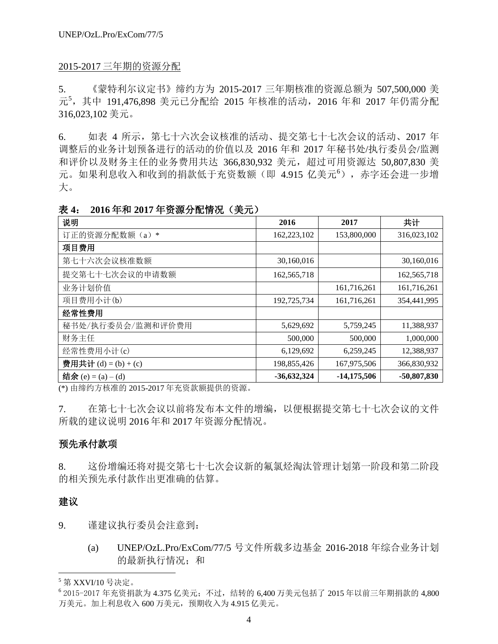#### 2015-2017 三年期的资源分配

5. 《蒙特利尔议定书》缔约方为 2015-2017 三年期核准的资源总额为 507,500,000 美 元<sup>5</sup>,其中 191,476,898 美元已分配给 2015 年核准的活动,2016 年和 2017 年仍需分配 316,023,102 美元。

6. 如表 4 所示,第七十六次会议核准的活动、提交第七十七次会议的活动、2017 年 调整后的业务计划预备进行的活动的价值以及 2016 年和 2017 年秘书处/执行委员会/监测 和评价以及财务主任的业务费用共达 366,830,932 美元, 超过可用资源达 50,807,830 美 元。如果利息收入和收到的捐款低于充资数额(即 4.915 亿美元<sup>6</sup>), 赤字还会进一步增 大。

| 说明                    | 2016          | 2017          | 共计          |
|-----------------------|---------------|---------------|-------------|
| 订正的资源分配数额(a)*         | 162,223,102   | 153,800,000   | 316,023,102 |
| 项目费用                  |               |               |             |
| 第七十六次会议核准数额           | 30,160,016    |               | 30,160,016  |
| 提交第七十七次会议的申请数额        | 162,565,718   |               | 162,565,718 |
| 业务计划价值                |               | 161,716,261   | 161,716,261 |
| 项目费用小计(b)             | 192,725,734   | 161,716,261   | 354,441,995 |
| 经常性费用                 |               |               |             |
| 秘书处/执行委员会/监测和评价费用     | 5,629,692     | 5,759,245     | 11,388,937  |
| 财务主任                  | 500,000       | 500,000       | 1,000,000   |
| 经常性费用小计(c)            | 6,129,692     | 6,259,245     | 12,388,937  |
| 费用共计(d) = $(b) + (c)$ | 198,855,426   | 167,975,506   | 366,830,932 |
| 结余 (e) = (a) – (d)    | $-36,632,324$ | $-14,175,506$ | -50,807,830 |

表 **4**: **2016** 年和 **2017** 年资源分配情况(美元)

(\*) 由缔约方核准的 2015-2017 年充资款额提供的资源。

7. 在第七十七次会议以前将发布本文件的增编,以便根据提交第七十七次会议的文件 所载的建议说明 2016 年和 2017 年资源分配情况。

### 预先承付款项

8. 这份增编还将对提交第七十七次会议新的氟氯烃淘汰管理计划第一阶段和第二阶段 的相关预先承付款作出更准确的估算。

## 建议

l

9. 谨建议执行委员会注意到:

(a) UNEP/OzL.Pro/ExCom/77/5 号文件所载多边基金 2016-2018 年综合业务计划 的最新执行情况;和

 $5$  第 XXVI/10 号决定。

<sup>6</sup> 2015-2017 年充资捐款为 4.375 亿美元;不过,结转的 6,400 万美元包括了 2015 年以前三年期捐款的 4,800 万美元。加上利息收入 600 万美元,预期收入为 4.915 亿美元。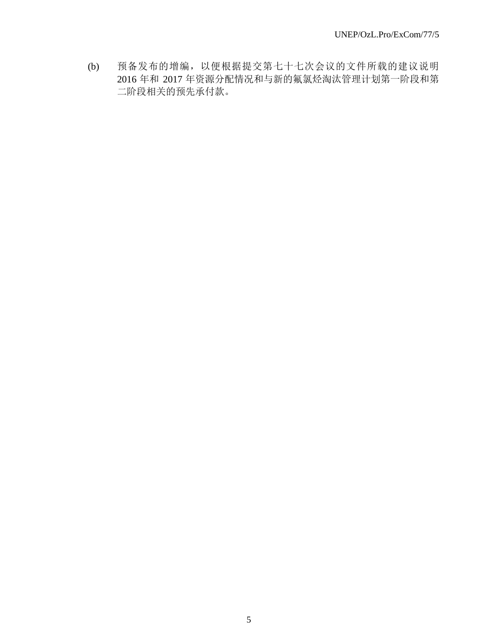(b) 预备发布的增编,以便根据提交第七十七次会议的文件所载的建议说明 2016 年和 2017 年资源分配情况和与新的氟氯烃淘汰管理计划第一阶段和第 二阶段相关的预先承付款。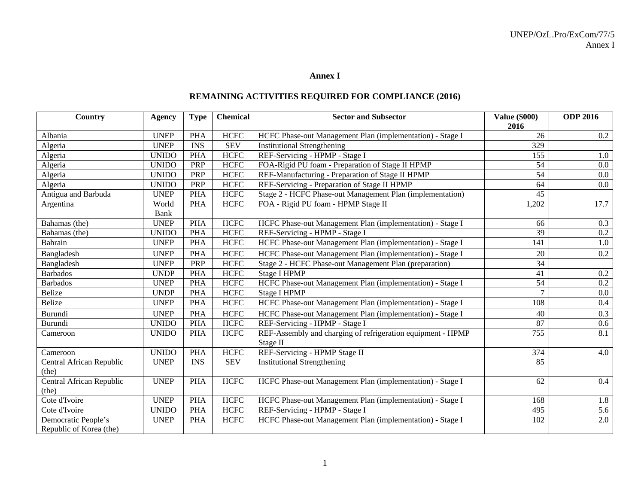#### **Annex I**

## **REMAINING ACTIVITIES REQUIRED FOR COMPLIANCE (2016)**

| Country                                        | <b>Agency</b> | <b>Type</b> | <b>Chemical</b> | <b>Sector and Subsector</b>                                 | <b>Value (\$000)</b><br>2016 | <b>ODP 2016</b> |
|------------------------------------------------|---------------|-------------|-----------------|-------------------------------------------------------------|------------------------------|-----------------|
| Albania                                        | <b>UNEP</b>   | <b>PHA</b>  | <b>HCFC</b>     | HCFC Phase-out Management Plan (implementation) - Stage I   | 26                           | $0.2\,$         |
| Algeria                                        | <b>UNEP</b>   | <b>INS</b>  | <b>SEV</b>      | <b>Institutional Strengthening</b>                          | 329                          |                 |
| Algeria                                        | <b>UNIDO</b>  | <b>PHA</b>  | <b>HCFC</b>     | REF-Servicing - HPMP - Stage I                              | 155                          | 1.0             |
| Algeria                                        | <b>UNIDO</b>  | PRP         | <b>HCFC</b>     | FOA-Rigid PU foam - Preparation of Stage II HPMP            | 54                           | 0.0             |
| Algeria                                        | <b>UNIDO</b>  | PRP         | <b>HCFC</b>     | REF-Manufacturing - Preparation of Stage II HPMP            | 54                           | $0.0\,$         |
| Algeria                                        | <b>UNIDO</b>  | PRP         | <b>HCFC</b>     | REF-Servicing - Preparation of Stage II HPMP                | 64                           | 0.0             |
| Antigua and Barbuda                            | <b>UNEP</b>   | <b>PHA</b>  | HCFC            | Stage 2 - HCFC Phase-out Management Plan (implementation)   | 45                           |                 |
| Argentina                                      | World         | <b>PHA</b>  | <b>HCFC</b>     | FOA - Rigid PU foam - HPMP Stage II                         | 1,202                        | 17.7            |
|                                                | Bank          |             |                 |                                                             |                              |                 |
| Bahamas (the)                                  | <b>UNEP</b>   | <b>PHA</b>  | <b>HCFC</b>     | HCFC Phase-out Management Plan (implementation) - Stage I   | 66                           | 0.3             |
| Bahamas (the)                                  | <b>UNIDO</b>  | <b>PHA</b>  | <b>HCFC</b>     | REF-Servicing - HPMP - Stage I                              | 39                           | $0.2\,$         |
| Bahrain                                        | <b>UNEP</b>   | <b>PHA</b>  | <b>HCFC</b>     | HCFC Phase-out Management Plan (implementation) - Stage I   | 141                          | 1.0             |
| Bangladesh                                     | <b>UNEP</b>   | <b>PHA</b>  | <b>HCFC</b>     | HCFC Phase-out Management Plan (implementation) - Stage I   | 20                           | 0.2             |
| Bangladesh                                     | <b>UNEP</b>   | PRP         | <b>HCFC</b>     | Stage 2 - HCFC Phase-out Management Plan (preparation)      | 34                           |                 |
| <b>Barbados</b>                                | <b>UNDP</b>   | <b>PHA</b>  | <b>HCFC</b>     | <b>Stage I HPMP</b>                                         | 41                           | $0.2\,$         |
| <b>Barbados</b>                                | <b>UNEP</b>   | <b>PHA</b>  | <b>HCFC</b>     | HCFC Phase-out Management Plan (implementation) - Stage I   | 54                           | $0.2\,$         |
| Belize                                         | <b>UNDP</b>   | <b>PHA</b>  | <b>HCFC</b>     | <b>Stage I HPMP</b>                                         | $\overline{7}$               | $0.0\,$         |
| Belize                                         | <b>UNEP</b>   | <b>PHA</b>  | <b>HCFC</b>     | HCFC Phase-out Management Plan (implementation) - Stage I   | 108                          | 0.4             |
| Burundi                                        | <b>UNEP</b>   | <b>PHA</b>  | <b>HCFC</b>     | HCFC Phase-out Management Plan (implementation) - Stage I   | 40                           | 0.3             |
| Burundi                                        | <b>UNIDO</b>  | <b>PHA</b>  | <b>HCFC</b>     | REF-Servicing - HPMP - Stage I                              | 87                           | 0.6             |
| Cameroon                                       | <b>UNIDO</b>  | <b>PHA</b>  | <b>HCFC</b>     | REF-Assembly and charging of refrigeration equipment - HPMP | 755                          | 8.1             |
|                                                |               |             |                 | Stage II                                                    |                              |                 |
| Cameroon                                       | <b>UNIDO</b>  | <b>PHA</b>  | <b>HCFC</b>     | REF-Servicing - HPMP Stage II                               | 374                          | 4.0             |
| Central African Republic                       | <b>UNEP</b>   | <b>INS</b>  | <b>SEV</b>      | <b>Institutional Strengthening</b>                          | 85                           |                 |
| (the)                                          |               |             |                 |                                                             |                              |                 |
| Central African Republic                       | <b>UNEP</b>   | <b>PHA</b>  | <b>HCFC</b>     | HCFC Phase-out Management Plan (implementation) - Stage I   | 62                           | 0.4             |
| (the)                                          |               |             |                 |                                                             |                              |                 |
| Cote d'Ivoire                                  | <b>UNEP</b>   | <b>PHA</b>  | <b>HCFC</b>     | HCFC Phase-out Management Plan (implementation) - Stage I   | 168                          | 1.8             |
| Cote d'Ivoire                                  | <b>UNIDO</b>  | <b>PHA</b>  | <b>HCFC</b>     | REF-Servicing - HPMP - Stage I                              | 495                          | 5.6             |
| Democratic People's<br>Republic of Korea (the) | <b>UNEP</b>   | <b>PHA</b>  | <b>HCFC</b>     | HCFC Phase-out Management Plan (implementation) - Stage I   | 102                          | 2.0             |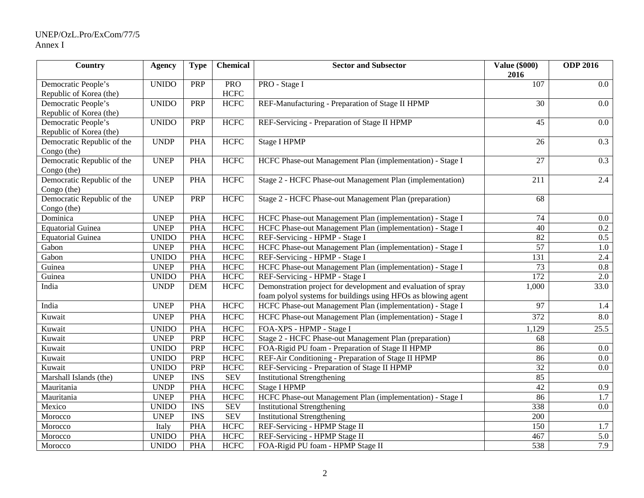#### UNEP/OzL.Pro/ExCom/77/5 Annex I

| Country                    | <b>Agency</b> | <b>Type</b>             | <b>Chemical</b> | <b>Sector and Subsector</b>                                   | <b>Value (\$000)</b><br>2016 | <b>ODP 2016</b>   |
|----------------------------|---------------|-------------------------|-----------------|---------------------------------------------------------------|------------------------------|-------------------|
| Democratic People's        | <b>UNIDO</b>  | PRP                     | <b>PRO</b>      | PRO - Stage I                                                 | 107                          | $0.0\,$           |
| Republic of Korea (the)    |               |                         | <b>HCFC</b>     |                                                               |                              |                   |
| Democratic People's        | <b>UNIDO</b>  | PRP                     | <b>HCFC</b>     | REF-Manufacturing - Preparation of Stage II HPMP              | 30                           | $0.0\,$           |
| Republic of Korea (the)    |               |                         |                 |                                                               |                              |                   |
| Democratic People's        | <b>UNIDO</b>  | PRP                     | <b>HCFC</b>     | REF-Servicing - Preparation of Stage II HPMP                  | 45                           | $0.0\,$           |
| Republic of Korea (the)    |               |                         |                 |                                                               |                              |                   |
| Democratic Republic of the | <b>UNDP</b>   | <b>PHA</b>              | <b>HCFC</b>     | <b>Stage I HPMP</b>                                           | 26                           | 0.3               |
| Congo (the)                |               |                         |                 |                                                               |                              |                   |
| Democratic Republic of the | <b>UNEP</b>   | <b>PHA</b>              | <b>HCFC</b>     | HCFC Phase-out Management Plan (implementation) - Stage I     | 27                           | 0.3               |
| Congo (the)                |               |                         |                 |                                                               |                              |                   |
| Democratic Republic of the | <b>UNEP</b>   | <b>PHA</b>              | <b>HCFC</b>     | Stage 2 - HCFC Phase-out Management Plan (implementation)     | 211                          | 2.4               |
| Congo (the)                |               |                         |                 |                                                               |                              |                   |
| Democratic Republic of the | <b>UNEP</b>   | PRP                     | <b>HCFC</b>     | Stage 2 - HCFC Phase-out Management Plan (preparation)        | 68                           |                   |
| Congo (the)                |               |                         |                 |                                                               |                              |                   |
| Dominica                   | <b>UNEP</b>   | <b>PHA</b>              | <b>HCFC</b>     | HCFC Phase-out Management Plan (implementation) - Stage I     | 74                           | $0.0\,$           |
| <b>Equatorial Guinea</b>   | <b>UNEP</b>   | <b>PHA</b>              | <b>HCFC</b>     | HCFC Phase-out Management Plan (implementation) - Stage I     | $\overline{40}$              | $0.2\,$           |
| <b>Equatorial Guinea</b>   | <b>UNIDO</b>  | <b>PHA</b>              | <b>HCFC</b>     | REF-Servicing - HPMP - Stage I                                | 82                           | $\overline{0.5}$  |
| Gabon                      | <b>UNEP</b>   | <b>PHA</b>              | <b>HCFC</b>     | HCFC Phase-out Management Plan (implementation) - Stage I     | $\overline{57}$              | 1.0               |
| Gabon                      | <b>UNIDO</b>  | <b>PHA</b>              | <b>HCFC</b>     | REF-Servicing - HPMP - Stage I                                | 131                          | 2.4               |
| Guinea                     | <b>UNEP</b>   | <b>PHA</b>              | <b>HCFC</b>     | HCFC Phase-out Management Plan (implementation) - Stage I     | 73                           | $\overline{0.8}$  |
| Guinea                     | <b>UNIDO</b>  | <b>PHA</b>              | <b>HCFC</b>     | REF-Servicing - HPMP - Stage I                                | 172                          | $\overline{2.0}$  |
| India                      | <b>UNDP</b>   | <b>DEM</b>              | <b>HCFC</b>     | Demonstration project for development and evaluation of spray | 1,000                        | 33.0              |
|                            |               |                         |                 | foam polyol systems for buildings using HFOs as blowing agent |                              |                   |
| India                      | <b>UNEP</b>   | <b>PHA</b>              | <b>HCFC</b>     | HCFC Phase-out Management Plan (implementation) - Stage I     | 97                           | 1.4               |
| Kuwait                     | <b>UNEP</b>   | <b>PHA</b>              | <b>HCFC</b>     | HCFC Phase-out Management Plan (implementation) - Stage I     | 372                          | 8.0               |
| Kuwait                     | <b>UNIDO</b>  | <b>PHA</b>              | <b>HCFC</b>     | FOA-XPS - HPMP - Stage I                                      | 1,129                        | $\overline{25.5}$ |
| Kuwait                     | <b>UNEP</b>   | PRP                     | <b>HCFC</b>     | Stage 2 - HCFC Phase-out Management Plan (preparation)        | 68                           |                   |
| Kuwait                     | <b>UNIDO</b>  | PRP                     | <b>HCFC</b>     | FOA-Rigid PU foam - Preparation of Stage II HPMP              | 86                           | $0.0\,$           |
| Kuwait                     | <b>UNIDO</b>  | PRP                     | <b>HCFC</b>     | REF-Air Conditioning - Preparation of Stage II HPMP           | 86                           | $0.0\,$           |
| Kuwait                     | <b>UNIDO</b>  | <b>PRP</b>              | <b>HCFC</b>     | REF-Servicing - Preparation of Stage II HPMP                  | 32                           | 0.0               |
| Marshall Islands (the)     | <b>UNEP</b>   | <b>INS</b>              | <b>SEV</b>      | <b>Institutional Strengthening</b>                            | 85                           |                   |
| Mauritania                 | <b>UNDP</b>   | PHA                     | <b>HCFC</b>     | Stage I HPMP                                                  | 42                           | 0.9               |
| Mauritania                 | <b>UNEP</b>   | <b>PHA</b>              | <b>HCFC</b>     | HCFC Phase-out Management Plan (implementation) - Stage I     | 86                           | 1.7               |
| Mexico                     | <b>UNIDO</b>  | $\overline{\text{INS}}$ | <b>SEV</b>      | <b>Institutional Strengthening</b>                            | 338                          | $\overline{0.0}$  |
| Morocco                    | <b>UNEP</b>   | <b>INS</b>              | <b>SEV</b>      | <b>Institutional Strengthening</b>                            | $\overline{200}$             |                   |
| Morocco                    | Italy         | <b>PHA</b>              | <b>HCFC</b>     | REF-Servicing - HPMP Stage II                                 | 150                          | 1.7               |
| Morocco                    | <b>UNIDO</b>  | <b>PHA</b>              | <b>HCFC</b>     | REF-Servicing - HPMP Stage II                                 | 467                          | 5.0               |
| Morocco                    | <b>UNIDO</b>  | <b>PHA</b>              | <b>HCFC</b>     | FOA-Rigid PU foam - HPMP Stage II                             | 538                          | 7.9               |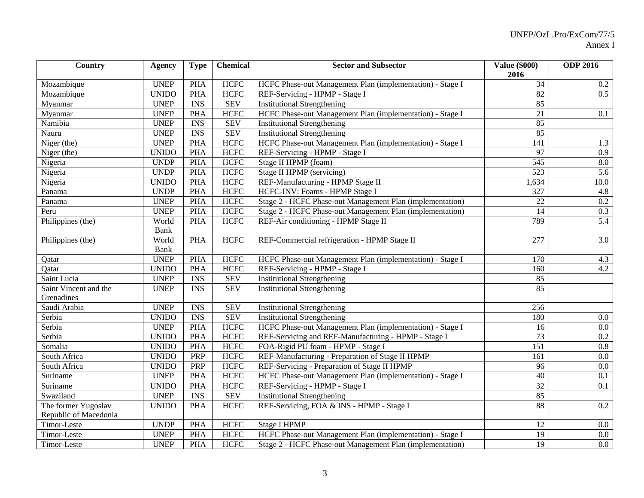| Country               | <b>Agency</b> | <b>Type</b> | <b>Chemical</b> | <b>Sector and Subsector</b>                               | <b>Value (\$000)</b><br>2016 | <b>ODP 2016</b> |
|-----------------------|---------------|-------------|-----------------|-----------------------------------------------------------|------------------------------|-----------------|
| Mozambique            | <b>UNEP</b>   | <b>PHA</b>  | <b>HCFC</b>     | HCFC Phase-out Management Plan (implementation) - Stage I | 34                           | $0.2\,$         |
| Mozambique            | <b>UNIDO</b>  | <b>PHA</b>  | <b>HCFC</b>     | REF-Servicing - HPMP - Stage I                            | 82                           | 0.5             |
| Myanmar               | <b>UNEP</b>   | <b>INS</b>  | <b>SEV</b>      | <b>Institutional Strengthening</b>                        | 85                           |                 |
| Myanmar               | <b>UNEP</b>   | <b>PHA</b>  | <b>HCFC</b>     | HCFC Phase-out Management Plan (implementation) - Stage I | 21                           | 0.1             |
| Namibia               | <b>UNEP</b>   | <b>INS</b>  | <b>SEV</b>      | <b>Institutional Strengthening</b>                        | 85                           |                 |
| Nauru                 | <b>UNEP</b>   | <b>INS</b>  | <b>SEV</b>      | <b>Institutional Strengthening</b>                        | 85                           |                 |
| Niger (the)           | <b>UNEP</b>   | <b>PHA</b>  | <b>HCFC</b>     | HCFC Phase-out Management Plan (implementation) - Stage I | 141                          | 1.3             |
| Niger (the)           | <b>UNIDO</b>  | <b>PHA</b>  | <b>HCFC</b>     | REF-Servicing - HPMP - Stage I                            | 97                           | 0.9             |
| Nigeria               | <b>UNDP</b>   | <b>PHA</b>  | <b>HCFC</b>     | Stage II HPMP (foam)                                      | 545                          | $\rm 8.0$       |
| Nigeria               | <b>UNDP</b>   | <b>PHA</b>  | <b>HCFC</b>     | Stage II HPMP (servicing)                                 | 523                          | 5.6             |
| Nigeria               | <b>UNIDO</b>  | <b>PHA</b>  | <b>HCFC</b>     | REF-Manufacturing - HPMP Stage II                         | 1,634                        | 10.0            |
| Panama                | <b>UNDP</b>   | <b>PHA</b>  | <b>HCFC</b>     | HCFC-INV: Foams - HPMP Stage I                            | 327                          | 4.8             |
| Panama                | <b>UNEP</b>   | <b>PHA</b>  | <b>HCFC</b>     | Stage 2 - HCFC Phase-out Management Plan (implementation) | 22                           | $0.2\,$         |
| Peru                  | <b>UNEP</b>   | <b>PHA</b>  | <b>HCFC</b>     | Stage 2 - HCFC Phase-out Management Plan (implementation) | 14                           | 0.3             |
| Philippines (the)     | World         | <b>PHA</b>  | <b>HCFC</b>     | REF-Air conditioning - HPMP Stage II                      | 789                          | 5.4             |
|                       | <b>Bank</b>   |             |                 |                                                           |                              |                 |
| Philippines (the)     | World         | <b>PHA</b>  | <b>HCFC</b>     | REF-Commercial refrigeration - HPMP Stage II              | 277                          | 3.0             |
|                       | <b>Bank</b>   |             |                 |                                                           |                              |                 |
| Qatar                 | <b>UNEP</b>   | <b>PHA</b>  | <b>HCFC</b>     | HCFC Phase-out Management Plan (implementation) - Stage I | 170                          | 4.3             |
| Qatar                 | <b>UNIDO</b>  | <b>PHA</b>  | <b>HCFC</b>     | REF-Servicing - HPMP - Stage I                            | 160                          | 4.2             |
| Saint Lucia           | <b>UNEP</b>   | <b>INS</b>  | <b>SEV</b>      | <b>Institutional Strengthening</b>                        | 85                           |                 |
| Saint Vincent and the | <b>UNEP</b>   | <b>INS</b>  | <b>SEV</b>      | <b>Institutional Strengthening</b>                        | 85                           |                 |
| Grenadines            |               |             |                 |                                                           |                              |                 |
| Saudi Arabia          | <b>UNEP</b>   | <b>INS</b>  | <b>SEV</b>      | <b>Institutional Strengthening</b>                        | 256                          |                 |
| Serbia                | <b>UNIDO</b>  | <b>INS</b>  | <b>SEV</b>      | <b>Institutional Strengthening</b>                        | 180                          | $0.0\,$         |
| Serbia                | <b>UNEP</b>   | <b>PHA</b>  | <b>HCFC</b>     | HCFC Phase-out Management Plan (implementation) - Stage I | 16                           | $0.0\,$         |
| Serbia                | <b>UNIDO</b>  | <b>PHA</b>  | <b>HCFC</b>     | REF-Servicing and REF-Manufacturing - HPMP - Stage I      | $\overline{73}$              | $0.2\,$         |
| Somalia               | <b>UNIDO</b>  | <b>PHA</b>  | <b>HCFC</b>     | FOA-Rigid PU foam - HPMP - Stage I                        | $\overline{151}$             | 0.8             |
| South Africa          | <b>UNIDO</b>  | <b>PRP</b>  | <b>HCFC</b>     | REF-Manufacturing - Preparation of Stage II HPMP          | 161                          | 0.0             |
| South Africa          | <b>UNIDO</b>  | PRP         | <b>HCFC</b>     | REF-Servicing - Preparation of Stage II HPMP              | 96                           | 0.0             |
| Suriname              | <b>UNEP</b>   | <b>PHA</b>  | <b>HCFC</b>     | HCFC Phase-out Management Plan (implementation) - Stage I | 40                           | 0.1             |
| Suriname              | <b>UNIDO</b>  | <b>PHA</b>  | <b>HCFC</b>     | REF-Servicing - HPMP - Stage I                            | 32                           | 0.1             |
| Swaziland             | <b>UNEP</b>   | <b>INS</b>  | <b>SEV</b>      | <b>Institutional Strengthening</b>                        | 85                           |                 |
| The former Yugoslav   | <b>UNIDO</b>  | <b>PHA</b>  | <b>HCFC</b>     | REF-Servicing, FOA & INS - HPMP - Stage I                 | 88                           | $0.2\,$         |
| Republic of Macedonia |               |             |                 |                                                           |                              |                 |
| Timor-Leste           | <b>UNDP</b>   | <b>PHA</b>  | <b>HCFC</b>     | <b>Stage I HPMP</b>                                       | 12                           | $0.0\,$         |
| Timor-Leste           | <b>UNEP</b>   | <b>PHA</b>  | <b>HCFC</b>     | HCFC Phase-out Management Plan (implementation) - Stage I | 19                           | $0.0\,$         |
| Timor-Leste           | <b>UNEP</b>   | <b>PHA</b>  | <b>HCFC</b>     | Stage 2 - HCFC Phase-out Management Plan (implementation) | 19                           | $0.0\,$         |